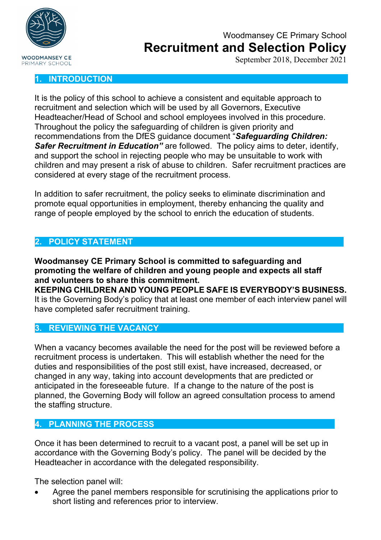

September 2018, December 2021

### **1. INTRODUCTION**

It is the policy of this school to achieve a consistent and equitable approach to recruitment and selection which will be used by all Governors, Executive Headteacher/Head of School and school employees involved in this procedure. Throughout the policy the safeguarding of children is given priority and recommendations from the DfES guidance document "*Safeguarding Children: Safer Recruitment in Education"* are followed. The policy aims to deter, identify, and support the school in rejecting people who may be unsuitable to work with children and may present a risk of abuse to children. Safer recruitment practices are considered at every stage of the recruitment process.

In addition to safer recruitment, the policy seeks to eliminate discrimination and promote equal opportunities in employment, thereby enhancing the quality and range of people employed by the school to enrich the education of students.

### **2. POLICY STATEMENT**

**Woodmansey CE Primary School is committed to safeguarding and promoting the welfare of children and young people and expects all staff and volunteers to share this commitment. KEEPING CHILDREN AND YOUNG PEOPLE SAFE IS EVERYBODY'S BUSINESS.**

It is the Governing Body's policy that at least one member of each interview panel will have completed safer recruitment training.

### **3. REVIEWING THE VACANCY**

When a vacancy becomes available the need for the post will be reviewed before a recruitment process is undertaken. This will establish whether the need for the duties and responsibilities of the post still exist, have increased, decreased, or changed in any way, taking into account developments that are predicted or anticipated in the foreseeable future. If a change to the nature of the post is planned, the Governing Body will follow an agreed consultation process to amend the staffing structure.

### **4. PLANNING THE PROCESS**

Once it has been determined to recruit to a vacant post, a panel will be set up in accordance with the Governing Body's policy. The panel will be decided by the Headteacher in accordance with the delegated responsibility.

The selection panel will:

• Agree the panel members responsible for scrutinising the applications prior to short listing and references prior to interview.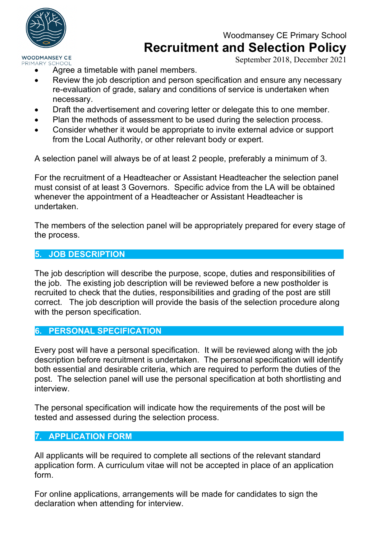

## Woodmansey CE Primary School **Recruitment and Selection Policy**

September 2018, December 2021

- Agree a timetable with panel members.
- Review the job description and person specification and ensure any necessary re-evaluation of grade, salary and conditions of service is undertaken when necessary.
- Draft the advertisement and covering letter or delegate this to one member.
- Plan the methods of assessment to be used during the selection process.
- Consider whether it would be appropriate to invite external advice or support from the Local Authority, or other relevant body or expert.

A selection panel will always be of at least 2 people, preferably a minimum of 3.

For the recruitment of a Headteacher or Assistant Headteacher the selection panel must consist of at least 3 Governors. Specific advice from the LA will be obtained whenever the appointment of a Headteacher or Assistant Headteacher is undertaken.

The members of the selection panel will be appropriately prepared for every stage of the process.

### **5. JOB DESCRIPTION**

The job description will describe the purpose, scope, duties and responsibilities of the job. The existing job description will be reviewed before a new postholder is recruited to check that the duties, responsibilities and grading of the post are still correct. The job description will provide the basis of the selection procedure along with the person specification.

### **6. PERSONAL SPECIFICATION**

Every post will have a personal specification. It will be reviewed along with the job description before recruitment is undertaken. The personal specification will identify both essential and desirable criteria, which are required to perform the duties of the post. The selection panel will use the personal specification at both shortlisting and interview.

The personal specification will indicate how the requirements of the post will be tested and assessed during the selection process.

### **7. APPLICATION FORM**

All applicants will be required to complete all sections of the relevant standard application form. A curriculum vitae will not be accepted in place of an application form.

For online applications, arrangements will be made for candidates to sign the declaration when attending for interview.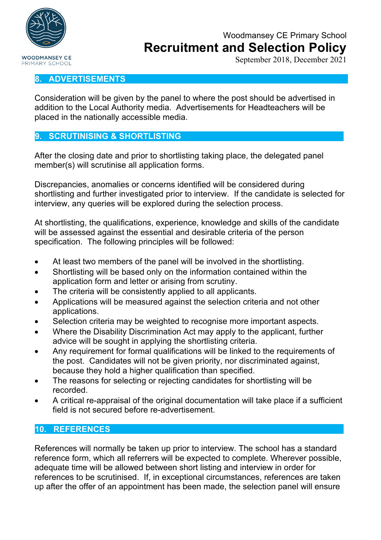

September 2018, December 2021

### **8. ADVERTISEMENTS**

Consideration will be given by the panel to where the post should be advertised in addition to the Local Authority media. Advertisements for Headteachers will be placed in the nationally accessible media.

### **9. SCRUTINISING & SHORTLISTING**

After the closing date and prior to shortlisting taking place, the delegated panel member(s) will scrutinise all application forms.

Discrepancies, anomalies or concerns identified will be considered during shortlisting and further investigated prior to interview. If the candidate is selected for interview, any queries will be explored during the selection process.

At shortlisting, the qualifications, experience, knowledge and skills of the candidate will be assessed against the essential and desirable criteria of the person specification. The following principles will be followed:

- At least two members of the panel will be involved in the shortlisting.
- Shortlisting will be based only on the information contained within the application form and letter or arising from scrutiny.
- The criteria will be consistently applied to all applicants.
- Applications will be measured against the selection criteria and not other applications.
- Selection criteria may be weighted to recognise more important aspects.
- Where the Disability Discrimination Act may apply to the applicant, further advice will be sought in applying the shortlisting criteria.
- Any requirement for formal qualifications will be linked to the requirements of the post. Candidates will not be given priority, nor discriminated against, because they hold a higher qualification than specified.
- The reasons for selecting or rejecting candidates for shortlisting will be recorded.
- A critical re-appraisal of the original documentation will take place if a sufficient field is not secured before re-advertisement.

### **10. REFERENCES**

References will normally be taken up prior to interview. The school has a standard reference form, which all referrers will be expected to complete. Wherever possible, adequate time will be allowed between short listing and interview in order for references to be scrutinised. If, in exceptional circumstances, references are taken up after the offer of an appointment has been made, the selection panel will ensure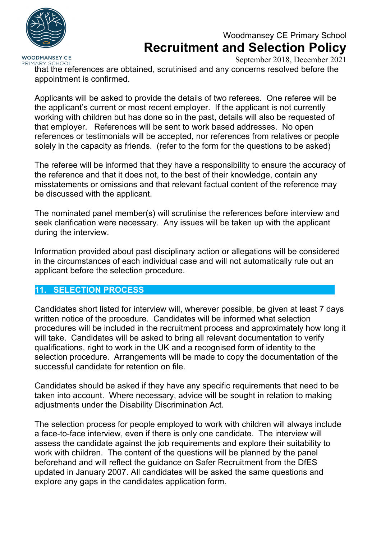

### **WOODMANSEY CE** PRIMARY SCHOOL

September 2018, December 2021

that the references are obtained, scrutinised and any concerns resolved before the appointment is confirmed.

Applicants will be asked to provide the details of two referees. One referee will be the applicant's current or most recent employer. If the applicant is not currently working with children but has done so in the past, details will also be requested of that employer. References will be sent to work based addresses. No open references or testimonials will be accepted, nor references from relatives or people solely in the capacity as friends. (refer to the form for the questions to be asked)

The referee will be informed that they have a responsibility to ensure the accuracy of the reference and that it does not, to the best of their knowledge, contain any misstatements or omissions and that relevant factual content of the reference may be discussed with the applicant.

The nominated panel member(s) will scrutinise the references before interview and seek clarification were necessary. Any issues will be taken up with the applicant during the interview.

Information provided about past disciplinary action or allegations will be considered in the circumstances of each individual case and will not automatically rule out an applicant before the selection procedure.

### **11. SELECTION PROCESS**

Candidates short listed for interview will, wherever possible, be given at least 7 days written notice of the procedure. Candidates will be informed what selection procedures will be included in the recruitment process and approximately how long it will take. Candidates will be asked to bring all relevant documentation to verify qualifications, right to work in the UK and a recognised form of identity to the selection procedure. Arrangements will be made to copy the documentation of the successful candidate for retention on file.

Candidates should be asked if they have any specific requirements that need to be taken into account. Where necessary, advice will be sought in relation to making adjustments under the Disability Discrimination Act.

The selection process for people employed to work with children will always include a face-to-face interview, even if there is only one candidate. The interview will assess the candidate against the job requirements and explore their suitability to work with children. The content of the questions will be planned by the panel beforehand and will reflect the guidance on Safer Recruitment from the DfES updated in January 2007. All candidates will be asked the same questions and explore any gaps in the candidates application form.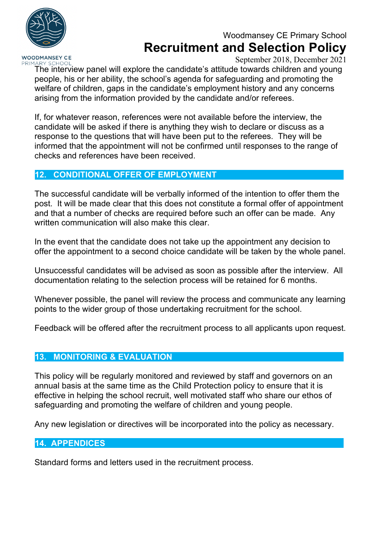

## Woodmansey CE Primary School **Recruitment and Selection Policy**

September 2018, December 2021

PRIMARY SCHOOL The interview panel will explore the candidate's attitude towards children and young people, his or her ability, the school's agenda for safeguarding and promoting the welfare of children, gaps in the candidate's employment history and any concerns arising from the information provided by the candidate and/or referees.

If, for whatever reason, references were not available before the interview, the candidate will be asked if there is anything they wish to declare or discuss as a response to the questions that will have been put to the referees. They will be informed that the appointment will not be confirmed until responses to the range of checks and references have been received.

### **12. CONDITIONAL OFFER OF EMPLOYMENT**

The successful candidate will be verbally informed of the intention to offer them the post. It will be made clear that this does not constitute a formal offer of appointment and that a number of checks are required before such an offer can be made. Any written communication will also make this clear.

In the event that the candidate does not take up the appointment any decision to offer the appointment to a second choice candidate will be taken by the whole panel.

Unsuccessful candidates will be advised as soon as possible after the interview. All documentation relating to the selection process will be retained for 6 months.

Whenever possible, the panel will review the process and communicate any learning points to the wider group of those undertaking recruitment for the school.

Feedback will be offered after the recruitment process to all applicants upon request.

### **13. MONITORING & EVALUATION**

This policy will be regularly monitored and reviewed by staff and governors on an annual basis at the same time as the Child Protection policy to ensure that it is effective in helping the school recruit, well motivated staff who share our ethos of safeguarding and promoting the welfare of children and young people.

Any new legislation or directives will be incorporated into the policy as necessary.

### **14. APPENDICES**

Standard forms and letters used in the recruitment process.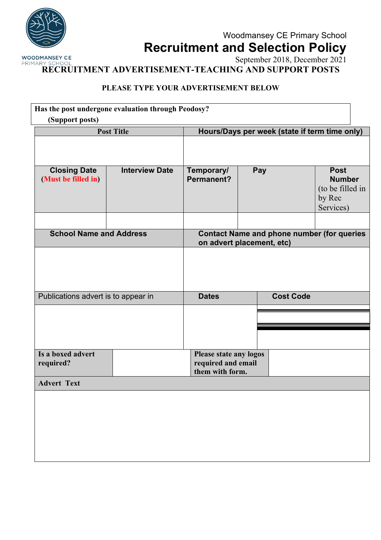

September 2018, December 2021 PRIMARY SCHOOL **RECRUITMENT ADVERTISEMENT-TEACHING AND SUPPORT POSTS**

### **PLEASE TYPE YOUR ADVERTISEMENT BELOW**

| Has the post undergone evaluation through Peodosy? |                       |                                                                                |     |                  |                                                                         |  |
|----------------------------------------------------|-----------------------|--------------------------------------------------------------------------------|-----|------------------|-------------------------------------------------------------------------|--|
| (Support posts)                                    |                       |                                                                                |     |                  |                                                                         |  |
| <b>Post Title</b>                                  |                       | Hours/Days per week (state if term time only)                                  |     |                  |                                                                         |  |
|                                                    |                       |                                                                                |     |                  |                                                                         |  |
| <b>Closing Date</b><br>(Must be filled in)         | <b>Interview Date</b> | Temporary/<br><b>Permanent?</b>                                                | Pay |                  | <b>Post</b><br><b>Number</b><br>(to be filled in<br>by Rec<br>Services) |  |
| <b>School Name and Address</b>                     |                       | <b>Contact Name and phone number (for queries</b><br>on advert placement, etc) |     |                  |                                                                         |  |
| Publications advert is to appear in                |                       | <b>Dates</b>                                                                   |     | <b>Cost Code</b> |                                                                         |  |
|                                                    |                       |                                                                                |     |                  |                                                                         |  |
|                                                    |                       |                                                                                |     |                  |                                                                         |  |
| Is a boxed advert<br>required?                     |                       | <b>Please state any logos</b><br>required and email<br>them with form.         |     |                  |                                                                         |  |
| <b>Advert Text</b>                                 |                       |                                                                                |     |                  |                                                                         |  |
|                                                    |                       |                                                                                |     |                  |                                                                         |  |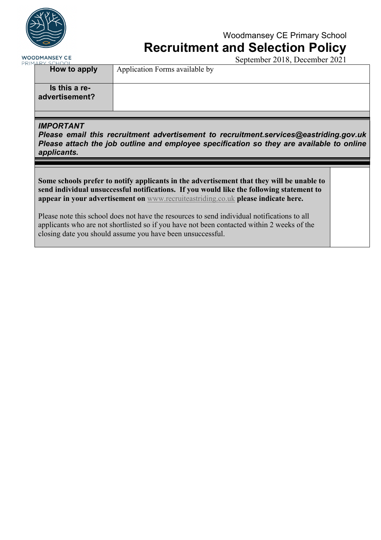

# Woodmansey CE Primary School

**Recruitment and Selection Policy**

**WOODMANSEY CE** PRIMARY

September 2018, December 2021 **How to apply** Application Forms available by **Is this a readvertisement?**

### *IMPORTANT*

*Please email this recruitment advertisement to recruitment.services@eastriding.gov.uk Please attach the job outline and employee specification so they are available to online applicants.*

**Some schools prefer to notify applicants in the advertisement that they will be unable to send individual unsuccessful notifications. If you would like the following statement to appear in your advertisement on** www.recruiteastriding.co.uk **please indicate here.**

Please note this school does not have the resources to send individual notifications to all applicants who are not shortlisted so if you have not been contacted within 2 weeks of the closing date you should assume you have been unsuccessful.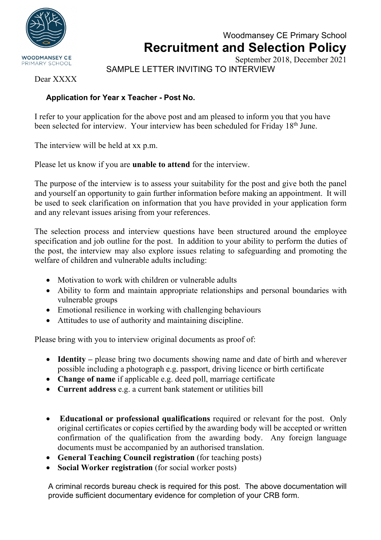

## Woodmansey CE Primary School **Recruitment and Selection Policy** September 2018, December 2021

SAMPLE LETTER INVITING TO INTERVIEW

Dear XXXX

### **Application for Year x Teacher - Post No.**

I refer to your application for the above post and am pleased to inform you that you have been selected for interview. Your interview has been scheduled for Friday 18<sup>th</sup> June.

The interview will be held at xx p.m.

Please let us know if you are **unable to attend** for the interview.

The purpose of the interview is to assess your suitability for the post and give both the panel and yourself an opportunity to gain further information before making an appointment. It will be used to seek clarification on information that you have provided in your application form and any relevant issues arising from your references.

The selection process and interview questions have been structured around the employee specification and job outline for the post. In addition to your ability to perform the duties of the post, the interview may also explore issues relating to safeguarding and promoting the welfare of children and vulnerable adults including:

- Motivation to work with children or vulnerable adults
- Ability to form and maintain appropriate relationships and personal boundaries with vulnerable groups
- Emotional resilience in working with challenging behaviours
- Attitudes to use of authority and maintaining discipline.

Please bring with you to interview original documents as proof of:

- **Identity** please bring two documents showing name and date of birth and wherever possible including a photograph e.g. passport, driving licence or birth certificate
- **Change of name** if applicable e.g. deed poll, marriage certificate
- **Current address** e.g. a current bank statement or utilities bill
- **Educational or professional qualifications** required or relevant for the post. Only original certificates or copies certified by the awarding body will be accepted or written confirmation of the qualification from the awarding body. Any foreign language documents must be accompanied by an authorised translation.
- **General Teaching Council registration** (for teaching posts)
- **Social Worker registration** (for social worker posts)

A criminal records bureau check is required for this post. The above documentation will provide sufficient documentary evidence for completion of your CRB form.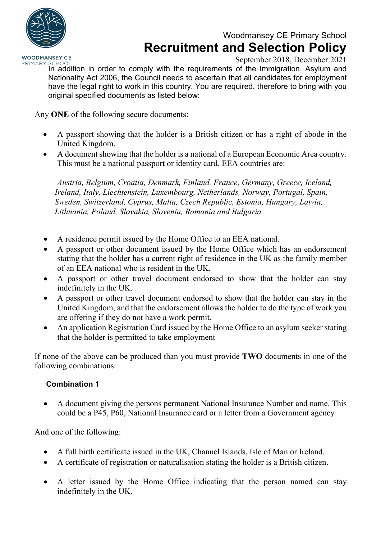

September 2018, December 2021

PRIMARY SCHOO In addition in order to comply with the requirements of the Immigration, Asylum and Nationality Act 2006, the Council needs to ascertain that all candidates for employment have the legal right to work in this country. You are required, therefore to bring with you original specified documents as listed below:

Any **ONE** of the following secure documents:

- A passport showing that the holder is a British citizen or has a right of abode in the United Kingdom.
- A document showing that the holder is a national of a European Economic Area country. This must be a national passport or identity card. EEA countries are:

*Austria, Belgium, Croatia, Denmark, Finland, France, Germany, Greece, Iceland, Ireland, Italy, Liechtenstein, Luxembourg, Netherlands, Norway, Portugal, Spain, Sweden, Switzerland, Cyprus, Malta, Czech Republic, Estonia, Hungary, Latvia, Lithuania, Poland, Slovakia, Slovenia, Romania and Bulgaria.*

- A residence permit issued by the Home Office to an EEA national.
- A passport or other document issued by the Home Office which has an endorsement stating that the holder has a current right of residence in the UK as the family member of an EEA national who is resident in the UK.
- A passport or other travel document endorsed to show that the holder can stay indefinitely in the UK.
- A passport or other travel document endorsed to show that the holder can stay in the United Kingdom, and that the endorsement allows the holder to do the type of work you are offering if they do not have a work permit.
- An application Registration Card issued by the Home Office to an asylum seeker stating that the holder is permitted to take employment

If none of the above can be produced than you must provide **TWO** documents in one of the following combinations:

### **Combination 1**

• A document giving the persons permanent National Insurance Number and name. This could be a P45, P60, National Insurance card or a letter from a Government agency

And one of the following:

- A full birth certificate issued in the UK, Channel Islands, Isle of Man or Ireland.
- A certificate of registration or naturalisation stating the holder is a British citizen.
- A letter issued by the Home Office indicating that the person named can stay indefinitely in the UK.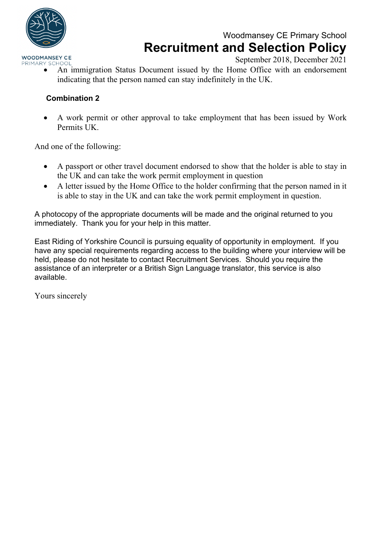

# Woodmansey CE Primary School **Recruitment and Selection Policy**

September 2018, December 2021

• An immigration Status Document issued by the Home Office with an endorsement indicating that the person named can stay indefinitely in the UK.

### **Combination 2**

• A work permit or other approval to take employment that has been issued by Work Permits UK.

And one of the following:

- A passport or other travel document endorsed to show that the holder is able to stay in the UK and can take the work permit employment in question
- A letter issued by the Home Office to the holder confirming that the person named in it is able to stay in the UK and can take the work permit employment in question.

A photocopy of the appropriate documents will be made and the original returned to you immediately. Thank you for your help in this matter.

East Riding of Yorkshire Council is pursuing equality of opportunity in employment. If you have any special requirements regarding access to the building where your interview will be held, please do not hesitate to contact Recruitment Services. Should you require the assistance of an interpreter or a British Sign Language translator, this service is also available.

Yours sincerely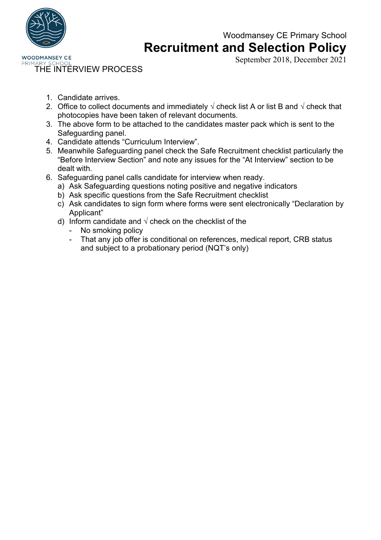

## Woodmansey CE Primary School **Recruitment and Selection Policy**

September 2018, December 2021

PRIMAR THE INTERVIEW PROCESS

- 1. Candidate arrives.
- 2. Office to collect documents and immediately  $\sqrt{ }$  check list A or list B and  $\sqrt{ }$  check that photocopies have been taken of relevant documents.
- 3. The above form to be attached to the candidates master pack which is sent to the Safeguarding panel.
- 4. Candidate attends "Curriculum Interview".
- 5. Meanwhile Safeguarding panel check the Safe Recruitment checklist particularly the "Before Interview Section" and note any issues for the "At Interview" section to be dealt with.
- 6. Safeguarding panel calls candidate for interview when ready.
	- a) Ask Safeguarding questions noting positive and negative indicators
	- b) Ask specific questions from the Safe Recruitment checklist
	- c) Ask candidates to sign form where forms were sent electronically "Declaration by Applicant"
	- d) Inform candidate and  $\sqrt{ }$  check on the checklist of the
		- No smoking policy
		- That any job offer is conditional on references, medical report, CRB status and subject to a probationary period (NQT's only)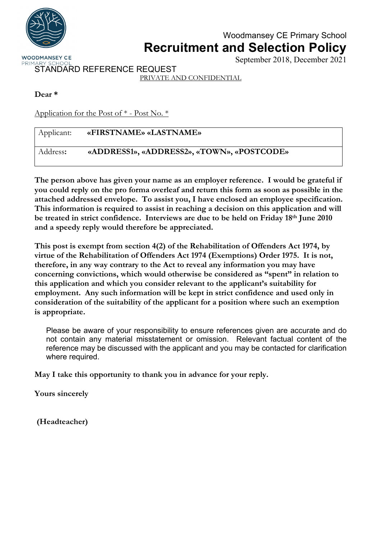

## Woodmansey CE Primary School **Recruitment and Selection Policy**

September 2018, December 2021

STANDARD REFERENCE REQUEST

PRIVATE AND CONFIDENTIAL

### **Dear \***

Application for the Post of \* - Post No. \*

| Applicant: | «FIRSTNAME» «LASTNAME»                     |
|------------|--------------------------------------------|
| Address:   | «ADDRESS1», «ADDRESS2», «TOWN», «POSTCODE» |

**The person above has given your name as an employer reference. I would be grateful if you could reply on the pro forma overleaf and return this form as soon as possible in the attached addressed envelope. To assist you, I have enclosed an employee specification. This information is required to assist in reaching a decision on this application and will be treated in strict confidence. Interviews are due to be held on Friday 18th June 2010 and a speedy reply would therefore be appreciated.**

**This post is exempt from section 4(2) of the Rehabilitation of Offenders Act 1974, by virtue of the Rehabilitation of Offenders Act 1974 (Exemptions) Order 1975. It is not, therefore, in any way contrary to the Act to reveal any information you may have concerning convictions, which would otherwise be considered as "spent" in relation to this application and which you consider relevant to the applicant's suitability for employment. Any such information will be kept in strict confidence and used only in consideration of the suitability of the applicant for a position where such an exemption is appropriate.**

Please be aware of your responsibility to ensure references given are accurate and do not contain any material misstatement or omission. Relevant factual content of the reference may be discussed with the applicant and you may be contacted for clarification where required.

**May I take this opportunity to thank you in advance for your reply.**

**Yours sincerely**

**(Headteacher)**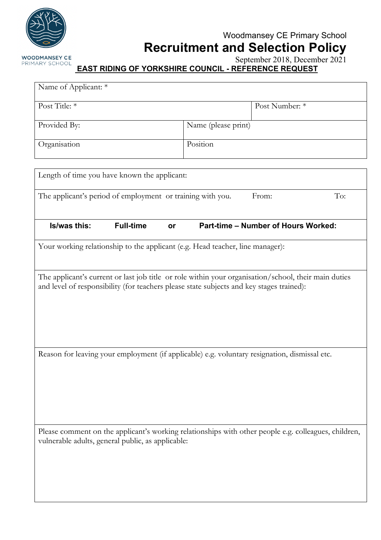

September 2018, December 2021

### **EAST RIDING OF YORKSHIRE COUNCIL - REFERENCE REQUEST**

| Name of Applicant: *                                                                                                                                                                             |                  |    |                     |                                            |     |
|--------------------------------------------------------------------------------------------------------------------------------------------------------------------------------------------------|------------------|----|---------------------|--------------------------------------------|-----|
| Post Title: *                                                                                                                                                                                    |                  |    |                     | Post Number: *                             |     |
| Provided By:                                                                                                                                                                                     |                  |    | Name (please print) |                                            |     |
| Organisation                                                                                                                                                                                     |                  |    | Position            |                                            |     |
| Length of time you have known the applicant:                                                                                                                                                     |                  |    |                     |                                            |     |
| The applicant's period of employment or training with you.                                                                                                                                       |                  |    |                     | From:                                      | To: |
| Is/was this:                                                                                                                                                                                     | <b>Full-time</b> | or |                     | <b>Part-time - Number of Hours Worked:</b> |     |
| Your working relationship to the applicant (e.g. Head teacher, line manager):                                                                                                                    |                  |    |                     |                                            |     |
| The applicant's current or last job title or role within your organisation/school, their main duties<br>and level of responsibility (for teachers please state subjects and key stages trained): |                  |    |                     |                                            |     |
| Reason for leaving your employment (if applicable) e.g. voluntary resignation, dismissal etc.                                                                                                    |                  |    |                     |                                            |     |
| Please comment on the applicant's working relationships with other people e.g. colleagues, children,<br>vulnerable adults, general public, as applicable:                                        |                  |    |                     |                                            |     |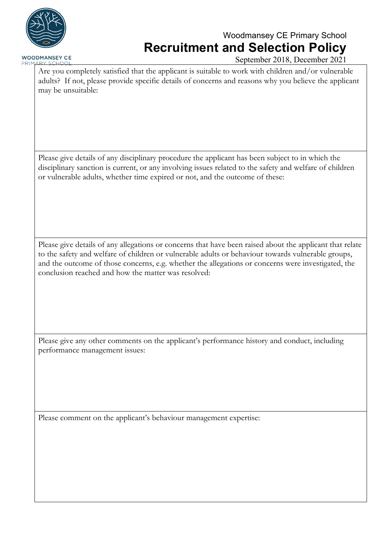

PRIMARY SCHOOL

# Woodmansey CE Primary School **Recruitment and Selection Policy**

September 2018, December 2021

Are you completely satisfied that the applicant is suitable to work with children and/or vulnerable adults? If not, please provide specific details of concerns and reasons why you believe the applicant may be unsuitable:

Please give details of any disciplinary procedure the applicant has been subject to in which the disciplinary sanction is current, or any involving issues related to the safety and welfare of children or vulnerable adults, whether time expired or not, and the outcome of these:

Please give details of any allegations or concerns that have been raised about the applicant that relate to the safety and welfare of children or vulnerable adults or behaviour towards vulnerable groups, and the outcome of those concerns, e.g. whether the allegations or concerns were investigated, the conclusion reached and how the matter was resolved:

Please give any other comments on the applicant's performance history and conduct, including performance management issues:

Please comment on the applicant's behaviour management expertise: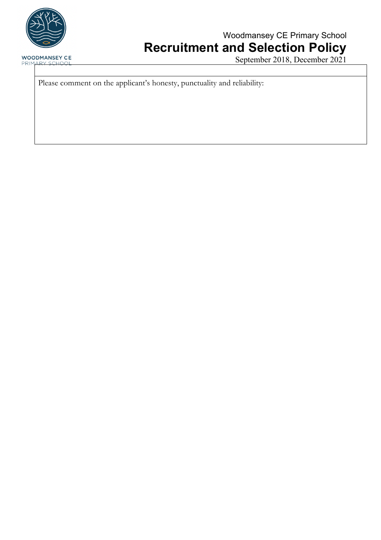

# Woodmansey CE Primary School **Recruitment and Selection Policy**

September 2018, December 2021

Please comment on the applicant's honesty, punctuality and reliability: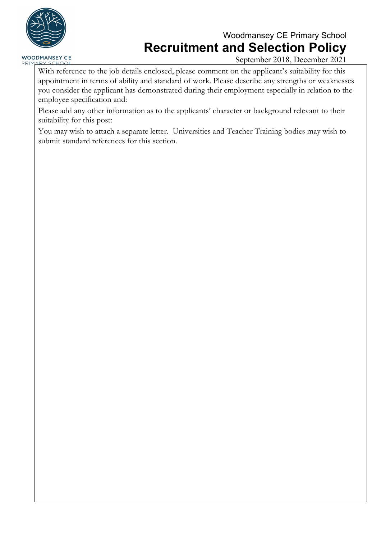

# Woodmansey CE Primary School **Recruitment and Selection Policy**

September 2018, December 2021

With reference to the job details enclosed, please comment on the applicant's suitability for this appointment in terms of ability and standard of work. Please describe any strengths or weaknesses you consider the applicant has demonstrated during their employment especially in relation to the employee specification and:

Please add any other information as to the applicants' character or background relevant to their suitability for this post:

You may wish to attach a separate letter. Universities and Teacher Training bodies may wish to submit standard references for this section.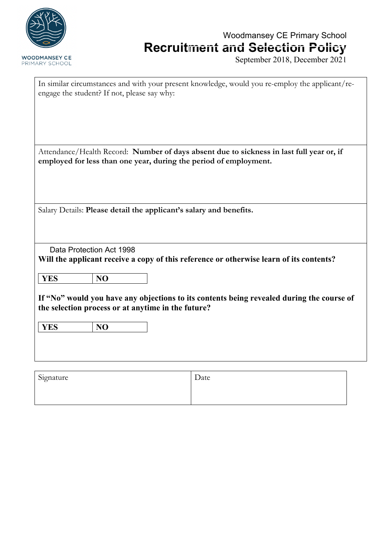

September 2018, December 2021

| In similar circumstances and with your present knowledge, would you re-employ the applicant/re-<br>engage the student? If not, please say why:                      |                                                                                                                                                               |      |  |  |  |
|---------------------------------------------------------------------------------------------------------------------------------------------------------------------|---------------------------------------------------------------------------------------------------------------------------------------------------------------|------|--|--|--|
|                                                                                                                                                                     | Attendance/Health Record: Number of days absent due to sickness in last full year or, if<br>employed for less than one year, during the period of employment. |      |  |  |  |
| Salary Details: Please detail the applicant's salary and benefits.                                                                                                  |                                                                                                                                                               |      |  |  |  |
| Data Protection Act 1998<br>Will the applicant receive a copy of this reference or otherwise learn of its contents?                                                 |                                                                                                                                                               |      |  |  |  |
| <b>YES</b>                                                                                                                                                          | N <sub>O</sub>                                                                                                                                                |      |  |  |  |
| If "No" would you have any objections to its contents being revealed during the course of<br>the selection process or at anytime in the future?<br><b>YES</b><br>NO |                                                                                                                                                               |      |  |  |  |
|                                                                                                                                                                     |                                                                                                                                                               |      |  |  |  |
| Signature                                                                                                                                                           |                                                                                                                                                               | Date |  |  |  |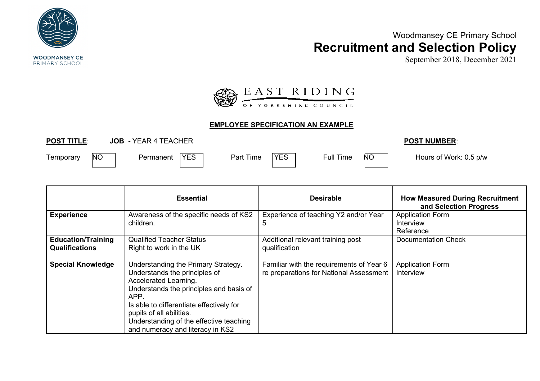

September 2018, December 2021



### **EMPLOYEE SPECIFICATION AN EXAMPLE**

**POST TITLE**: **JOB -** YEAR 4 TEACHER **POST NUMBER**:

Temporary NO Permanent YES Part Time YES Full Time NO Hours of Work: 0.5 p/w

|                                                    | <b>Essential</b>                                                                                                                                                                                                                                                                                        | <b>Desirable</b>                                                                    | <b>How Measured During Recruitment</b><br>and Selection Progress |
|----------------------------------------------------|---------------------------------------------------------------------------------------------------------------------------------------------------------------------------------------------------------------------------------------------------------------------------------------------------------|-------------------------------------------------------------------------------------|------------------------------------------------------------------|
| <b>Experience</b>                                  | Awareness of the specific needs of KS2<br>children.                                                                                                                                                                                                                                                     | Experience of teaching Y2 and/or Year<br>$5^{\circ}$                                | <b>Application Form</b><br><b>Interview</b><br>Reference         |
| <b>Education/Training</b><br><b>Qualifications</b> | <b>Qualified Teacher Status</b><br>Right to work in the UK                                                                                                                                                                                                                                              | Additional relevant training post<br>qualification                                  | <b>Documentation Check</b>                                       |
| <b>Special Knowledge</b>                           | Understanding the Primary Strategy.<br>Understands the principles of<br>Accelerated Learning.<br>Understands the principles and basis of<br>APP.<br>Is able to differentiate effectively for<br>pupils of all abilities.<br>Understanding of the effective teaching<br>and numeracy and literacy in KS2 | Familiar with the requirements of Year 6<br>re preparations for National Assessment | <b>Application Form</b><br>Interview                             |